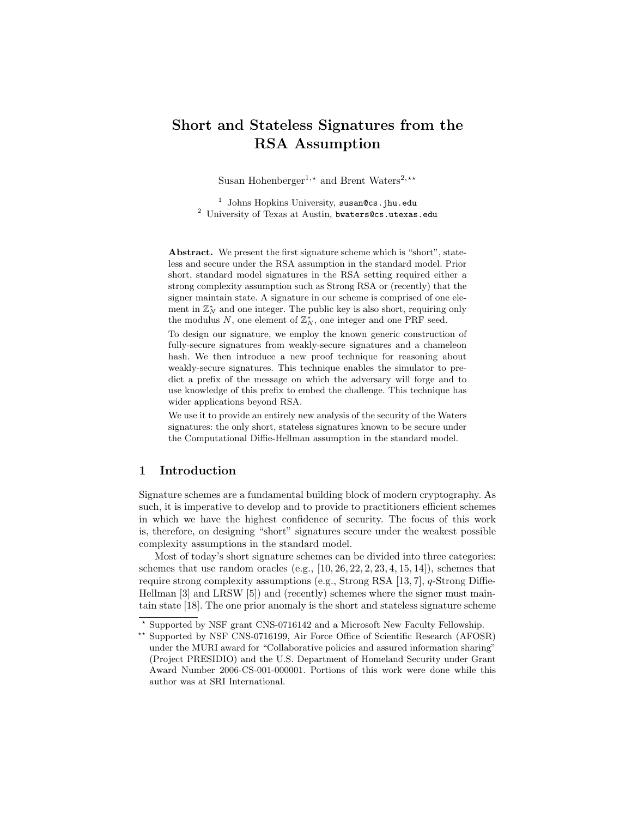# Short and Stateless Signatures from the RSA Assumption

Susan Hohenberger<sup>1,\*</sup> and Brent Waters<sup>2,\*\*</sup>

<sup>1</sup> Johns Hopkins University, susan@cs.jhu.edu <sup>2</sup> University of Texas at Austin, bwaters@cs.utexas.edu

Abstract. We present the first signature scheme which is "short", stateless and secure under the RSA assumption in the standard model. Prior short, standard model signatures in the RSA setting required either a strong complexity assumption such as Strong RSA or (recently) that the signer maintain state. A signature in our scheme is comprised of one element in  $\mathbb{Z}_N^*$  and one integer. The public key is also short, requiring only the modulus  $N$ , one element of  $\mathbb{Z}_N^*$ , one integer and one PRF seed.

To design our signature, we employ the known generic construction of fully-secure signatures from weakly-secure signatures and a chameleon hash. We then introduce a new proof technique for reasoning about weakly-secure signatures. This technique enables the simulator to predict a prefix of the message on which the adversary will forge and to use knowledge of this prefix to embed the challenge. This technique has wider applications beyond RSA.

We use it to provide an entirely new analysis of the security of the Waters signatures: the only short, stateless signatures known to be secure under the Computational Diffie-Hellman assumption in the standard model.

# 1 Introduction

Signature schemes are a fundamental building block of modern cryptography. As such, it is imperative to develop and to provide to practitioners efficient schemes in which we have the highest confidence of security. The focus of this work is, therefore, on designing "short" signatures secure under the weakest possible complexity assumptions in the standard model.

Most of today's short signature schemes can be divided into three categories: schemes that use random oracles (e.g.,  $[10, 26, 22, 2, 23, 4, 15, 14]$ ), schemes that require strong complexity assumptions (e.g., Strong RSA [13, 7], q-Strong Diffie-Hellman [3] and LRSW [5]) and (recently) schemes where the signer must maintain state [18]. The one prior anomaly is the short and stateless signature scheme

<sup>?</sup> Supported by NSF grant CNS-0716142 and a Microsoft New Faculty Fellowship.

<sup>\*\*</sup> Supported by NSF CNS-0716199, Air Force Office of Scientific Research (AFOSR) under the MURI award for "Collaborative policies and assured information sharing" (Project PRESIDIO) and the U.S. Department of Homeland Security under Grant Award Number 2006-CS-001-000001. Portions of this work were done while this author was at SRI International.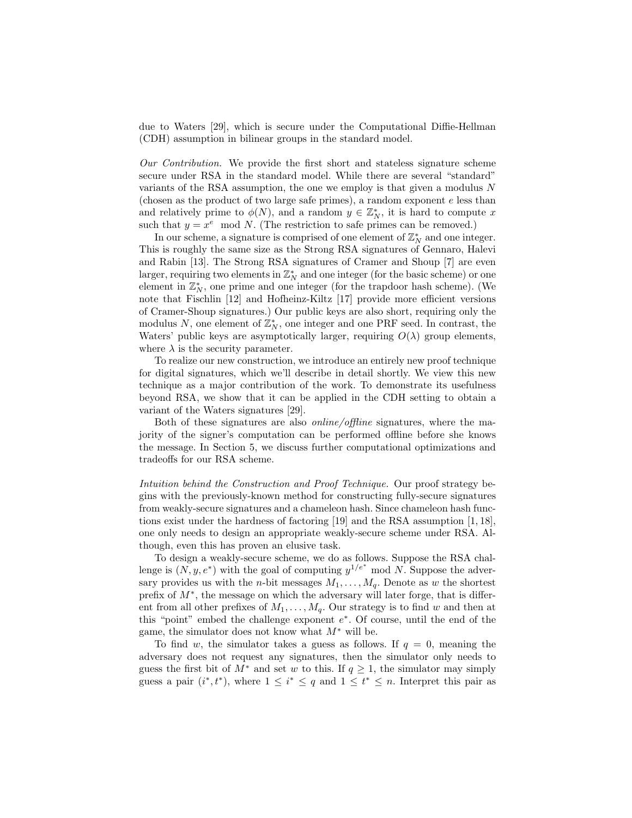due to Waters [29], which is secure under the Computational Diffie-Hellman (CDH) assumption in bilinear groups in the standard model.

Our Contribution. We provide the first short and stateless signature scheme secure under RSA in the standard model. While there are several "standard" variants of the RSA assumption, the one we employ is that given a modulus N (chosen as the product of two large safe primes), a random exponent  $e$  less than and relatively prime to  $\phi(N)$ , and a random  $y \in \mathbb{Z}_N^*$ , it is hard to compute x such that  $y = x^e \mod N$ . (The restriction to safe primes can be removed.)

In our scheme, a signature is comprised of one element of  $\mathbb{Z}_N^*$  and one integer. This is roughly the same size as the Strong RSA signatures of Gennaro, Halevi and Rabin [13]. The Strong RSA signatures of Cramer and Shoup [7] are even larger, requiring two elements in  $\mathbb{Z}_N^*$  and one integer (for the basic scheme) or one element in  $\mathbb{Z}_N^*$ , one prime and one integer (for the trapdoor hash scheme). (We note that Fischlin [12] and Hofheinz-Kiltz [17] provide more efficient versions of Cramer-Shoup signatures.) Our public keys are also short, requiring only the modulus N, one element of  $\mathbb{Z}_N^*$ , one integer and one PRF seed. In contrast, the Waters' public keys are asymptotically larger, requiring  $O(\lambda)$  group elements, where  $\lambda$  is the security parameter.

To realize our new construction, we introduce an entirely new proof technique for digital signatures, which we'll describe in detail shortly. We view this new technique as a major contribution of the work. To demonstrate its usefulness beyond RSA, we show that it can be applied in the CDH setting to obtain a variant of the Waters signatures [29].

Both of these signatures are also online/offline signatures, where the majority of the signer's computation can be performed offline before she knows the message. In Section 5, we discuss further computational optimizations and tradeoffs for our RSA scheme.

Intuition behind the Construction and Proof Technique. Our proof strategy begins with the previously-known method for constructing fully-secure signatures from weakly-secure signatures and a chameleon hash. Since chameleon hash functions exist under the hardness of factoring [19] and the RSA assumption [1, 18], one only needs to design an appropriate weakly-secure scheme under RSA. Although, even this has proven an elusive task.

To design a weakly-secure scheme, we do as follows. Suppose the RSA challenge is  $(N, y, e^*)$  with the goal of computing  $y^{1/e^*}$  mod N. Suppose the adversary provides us with the *n*-bit messages  $M_1, \ldots, M_q$ . Denote as w the shortest prefix of M<sup>∗</sup> , the message on which the adversary will later forge, that is different from all other prefixes of  $M_1, \ldots, M_q$ . Our strategy is to find w and then at this "point" embed the challenge exponent  $e^*$ . Of course, until the end of the game, the simulator does not know what  $M^*$  will be.

To find w, the simulator takes a guess as follows. If  $q = 0$ , meaning the adversary does not request any signatures, then the simulator only needs to guess the first bit of  $M^*$  and set w to this. If  $q \ge 1$ , the simulator may simply guess a pair  $(i^*, t^*)$ , where  $1 \leq i^* \leq q$  and  $1 \leq t^* \leq n$ . Interpret this pair as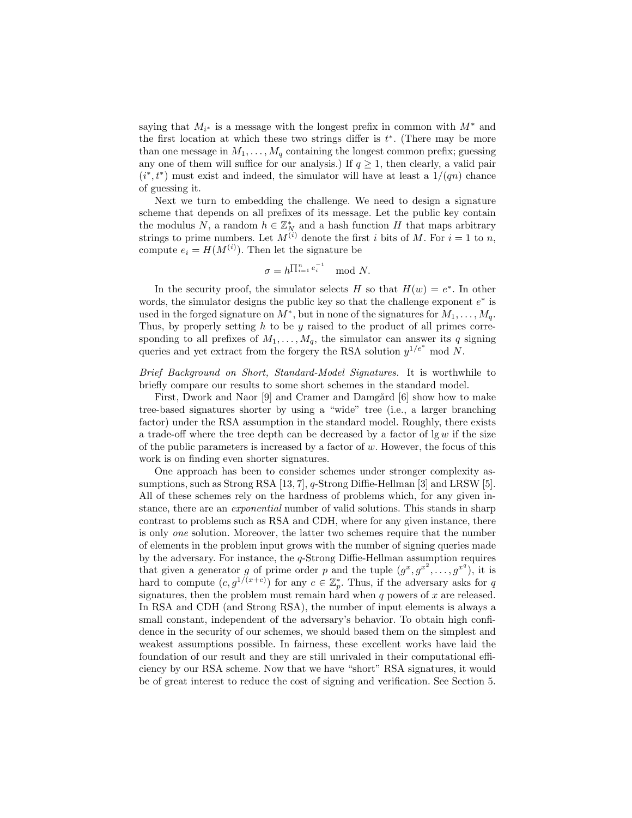saying that  $M_{i^*}$  is a message with the longest prefix in common with  $M^*$  and the first location at which these two strings differ is  $t^*$ . (There may be more than one message in  $M_1, \ldots, M_q$  containing the longest common prefix; guessing any one of them will suffice for our analysis.) If  $q \ge 1$ , then clearly, a valid pair  $(i^*, t^*)$  must exist and indeed, the simulator will have at least a  $1/(qn)$  chance of guessing it.

Next we turn to embedding the challenge. We need to design a signature scheme that depends on all prefixes of its message. Let the public key contain the modulus N, a random  $h \in \mathbb{Z}_N^*$  and a hash function H that maps arbitrary strings to prime numbers. Let  $M^{(i)}$  denote the first i bits of M. For  $i = 1$  to n, compute  $e_i = H(M^{(i)})$ . Then let the signature be

$$
\sigma = h^{\prod_{i=1}^{n} e_i^{-1}} \mod N.
$$

In the security proof, the simulator selects H so that  $H(w) = e^*$ . In other words, the simulator designs the public key so that the challenge exponent  $e^*$  is used in the forged signature on  $M^*$ , but in none of the signatures for  $M_1, \ldots, M_q$ . Thus, by properly setting  $h$  to be  $y$  raised to the product of all primes corresponding to all prefixes of  $M_1, \ldots, M_q$ , the simulator can answer its q signing queries and yet extract from the forgery the RSA solution  $y^{1/e^*}$  mod N.

Brief Background on Short, Standard-Model Signatures. It is worthwhile to briefly compare our results to some short schemes in the standard model.

First, Dwork and Naor [9] and Cramer and Damgård [6] show how to make tree-based signatures shorter by using a "wide" tree (i.e., a larger branching factor) under the RSA assumption in the standard model. Roughly, there exists a trade-off where the tree depth can be decreased by a factor of  $\lg w$  if the size of the public parameters is increased by a factor of  $w$ . However, the focus of this work is on finding even shorter signatures.

One approach has been to consider schemes under stronger complexity assumptions, such as Strong RSA [13, 7], q-Strong Diffie-Hellman [3] and LRSW [5]. All of these schemes rely on the hardness of problems which, for any given instance, there are an *exponential* number of valid solutions. This stands in sharp contrast to problems such as RSA and CDH, where for any given instance, there is only one solution. Moreover, the latter two schemes require that the number of elements in the problem input grows with the number of signing queries made by the adversary. For instance, the  $q$ -Strong Diffie-Hellman assumption requires that given a generator g of prime order p and the tuple  $(g^x, g^{x^2}, \ldots, g^{x^q})$ , it is hard to compute  $(c, g^{1/(x+c)})$  for any  $c \in \mathbb{Z}_p^*$ . Thus, if the adversary asks for q signatures, then the problem must remain hard when  $q$  powers of  $x$  are released. In RSA and CDH (and Strong RSA), the number of input elements is always a small constant, independent of the adversary's behavior. To obtain high confidence in the security of our schemes, we should based them on the simplest and weakest assumptions possible. In fairness, these excellent works have laid the foundation of our result and they are still unrivaled in their computational efficiency by our RSA scheme. Now that we have "short" RSA signatures, it would be of great interest to reduce the cost of signing and verification. See Section 5.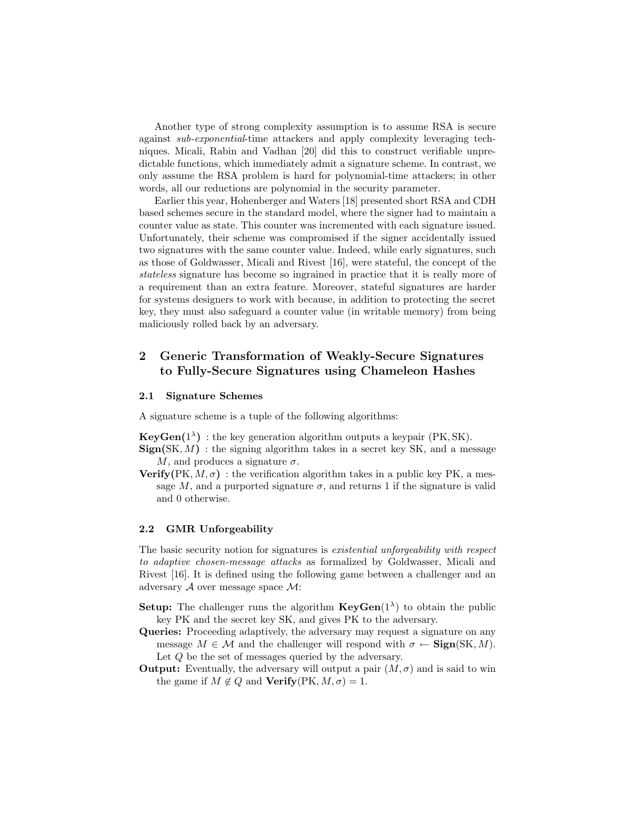Another type of strong complexity assumption is to assume RSA is secure against sub-exponential-time attackers and apply complexity leveraging techniques. Micali, Rabin and Vadhan [20] did this to construct verifiable unpredictable functions, which immediately admit a signature scheme. In contrast, we only assume the RSA problem is hard for polynomial-time attackers; in other words, all our reductions are polynomial in the security parameter.

Earlier this year, Hohenberger and Waters [18] presented short RSA and CDH based schemes secure in the standard model, where the signer had to maintain a counter value as state. This counter was incremented with each signature issued. Unfortunately, their scheme was compromised if the signer accidentally issued two signatures with the same counter value. Indeed, while early signatures, such as those of Goldwasser, Micali and Rivest [16], were stateful, the concept of the stateless signature has become so ingrained in practice that it is really more of a requirement than an extra feature. Moreover, stateful signatures are harder for systems designers to work with because, in addition to protecting the secret key, they must also safeguard a counter value (in writable memory) from being maliciously rolled back by an adversary.

# 2 Generic Transformation of Weakly-Secure Signatures to Fully-Secure Signatures using Chameleon Hashes

### 2.1 Signature Schemes

A signature scheme is a tuple of the following algorithms:

**KeyGen**( $1^{\lambda}$ ) : the key generation algorithm outputs a keypair (PK, SK).

- ${\rm \bf Sign(SK},M)$ : the signing algorithm takes in a secret key SK, and a message M, and produces a signature  $\sigma$ .
- **Verify**(PK,  $M, \sigma$ ) : the verification algorithm takes in a public key PK, a message M, and a purported signature  $\sigma$ , and returns 1 if the signature is valid and 0 otherwise.

# 2.2 GMR Unforgeability

The basic security notion for signatures is existential unforgeability with respect to adaptive chosen-message attacks as formalized by Goldwasser, Micali and Rivest [16]. It is defined using the following game between a challenger and an adversary  $A$  over message space  $M$ :

- **Setup:** The challenger runs the algorithm  $\text{KeyGen}(1^{\lambda})$  to obtain the public key PK and the secret key SK, and gives PK to the adversary.
- Queries: Proceeding adaptively, the adversary may request a signature on any message  $M \in \mathcal{M}$  and the challenger will respond with  $\sigma \leftarrow \text{Sign}(SK, M)$ . Let Q be the set of messages queried by the adversary.
- **Output:** Eventually, the adversary will output a pair  $(M, \sigma)$  and is said to win the game if  $M \notin Q$  and  $Verify(PK, M, \sigma) = 1$ .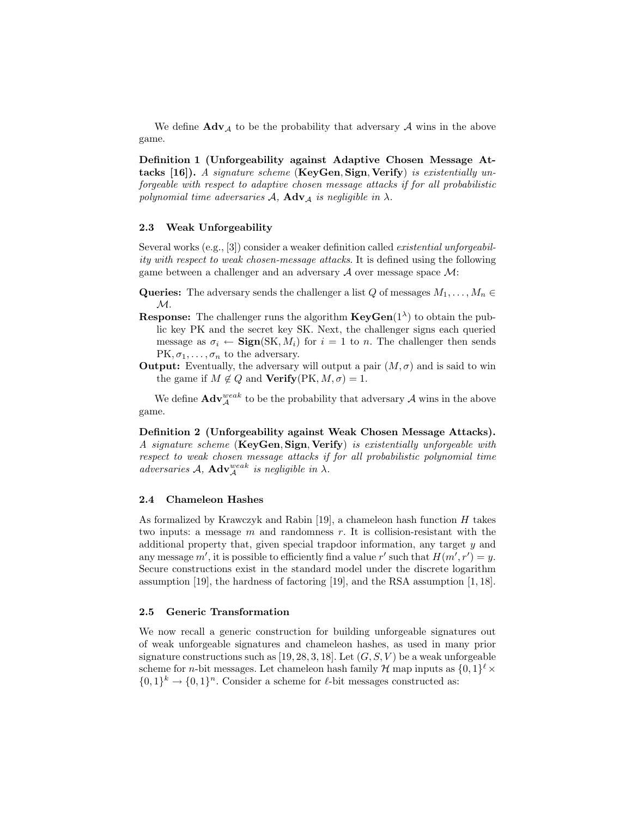We define  $\text{Adv}_{\mathcal{A}}$  to be the probability that adversary  $\mathcal A$  wins in the above game.

Definition 1 (Unforgeability against Adaptive Chosen Message Attacks [16]). A signature scheme (KeyGen, Sign, Verify) is existentially unforgeable with respect to adaptive chosen message attacks if for all probabilistic polynomial time adversaries  $A$ ,  $\bf{Adv}_{\mathcal{A}}$  is negligible in  $\lambda$ .

# 2.3 Weak Unforgeability

Several works (e.g., [3]) consider a weaker definition called existential unforgeability with respect to weak chosen-message attacks. It is defined using the following game between a challenger and an adversary  $A$  over message space  $M$ :

- Queries: The adversary sends the challenger a list Q of messages  $M_1, \ldots, M_n \in$  $\mathcal{M}.$
- **Response:** The challenger runs the algorithm  $KeyGen(1^{\lambda})$  to obtain the public key PK and the secret key SK. Next, the challenger signs each queried message as  $\sigma_i \leftarrow \text{Sign}(SK, M_i)$  for  $i = 1$  to n. The challenger then sends  $PK, \sigma_1, \ldots, \sigma_n$  to the adversary.
- **Output:** Eventually, the adversary will output a pair  $(M, \sigma)$  and is said to win the game if  $M \notin Q$  and  $Verify(PK, M, \sigma) = 1$ .

We define  $\mathbf{Adv}_{\mathcal{A}}^{weak}$  to be the probability that adversary  $\mathcal{A}$  wins in the above game.

Definition 2 (Unforgeability against Weak Chosen Message Attacks). A signature scheme (KeyGen, Sign, Verify) is existentially unforgeable with respect to weak chosen message attacks if for all probabilistic polynomial time adversaries A,  $\mathbf{Adv}_{\mathcal{A}}^{weak}$  is negligible in  $\lambda$ .

### 2.4 Chameleon Hashes

As formalized by Krawczyk and Rabin [19], a chameleon hash function  $H$  takes two inputs: a message  $m$  and randomness  $r$ . It is collision-resistant with the additional property that, given special trapdoor information, any target y and any message  $m'$ , it is possible to efficiently find a value r' such that  $H(m', r') = y$ . Secure constructions exist in the standard model under the discrete logarithm assumption [19], the hardness of factoring [19], and the RSA assumption [1, 18].

### 2.5 Generic Transformation

We now recall a generic construction for building unforgeable signatures out of weak unforgeable signatures and chameleon hashes, as used in many prior signature constructions such as [19, 28, 3, 18]. Let  $(G, S, V)$  be a weak unforgeable scheme for *n*-bit messages. Let chameleon hash family H map inputs as  $\{0,1\}^{\ell} \times$  $\{0,1\}^k \to \{0,1\}^n$ . Consider a scheme for  $\ell$ -bit messages constructed as: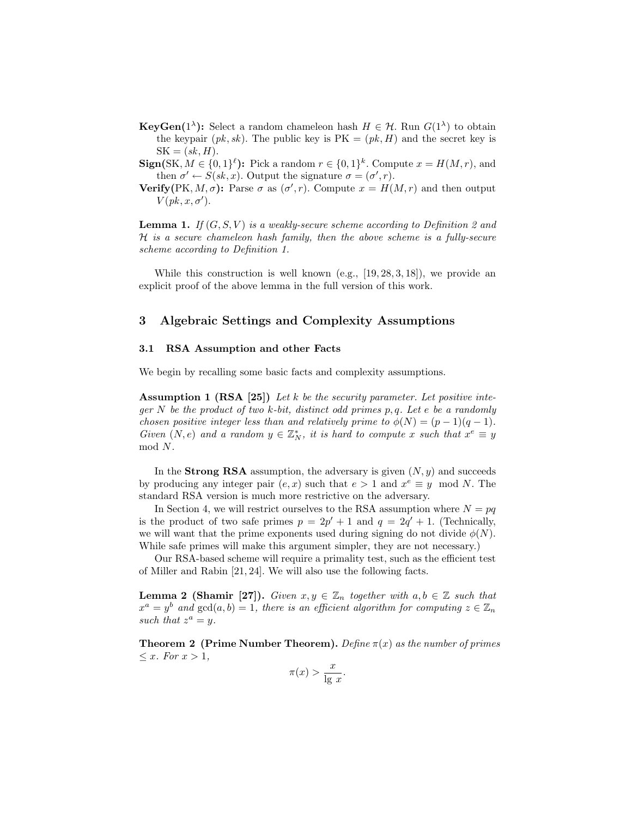- **KeyGen**(1<sup> $\lambda$ </sup>): Select a random chameleon hash  $H \in \mathcal{H}$ . Run  $G(1^{\lambda})$  to obtain the keypair  $(pk, sk)$ . The public key is  $PK = (pk, H)$  and the secret key is  $SK = (sk, H).$
- $\text{Sign}(SK, M \in \{0,1\}^{\ell})$ : Pick a random  $r \in \{0,1\}^k$ . Compute  $x = H(M,r)$ , and then  $\sigma' \leftarrow S(\mathit{sk}, x)$ . Output the signature  $\sigma = (\sigma', r)$ .
- Verify(PK, M,  $\sigma$ ): Parse  $\sigma$  as  $(\sigma', r)$ . Compute  $x = H(M, r)$  and then output  $V(pk, x, \sigma').$

**Lemma 1.** If  $(G, S, V)$  is a weakly-secure scheme according to Definition 2 and H is a secure chameleon hash family, then the above scheme is a fully-secure scheme according to Definition 1.

While this construction is well known (e.g.,  $[19, 28, 3, 18]$ ), we provide an explicit proof of the above lemma in the full version of this work.

# 3 Algebraic Settings and Complexity Assumptions

#### 3.1 RSA Assumption and other Facts

We begin by recalling some basic facts and complexity assumptions.

Assumption 1 (RSA [25]) Let k be the security parameter. Let positive integer N be the product of two k-bit, distinct odd primes  $p, q$ . Let e be a randomly chosen positive integer less than and relatively prime to  $\phi(N) = (p-1)(q-1)$ . Given  $(N, e)$  and a random  $y \in \mathbb{Z}_N^*$ , it is hard to compute x such that  $x^e \equiv y$ mod N.

In the **Strong RSA** assumption, the adversary is given  $(N, y)$  and succeeds by producing any integer pair  $(e, x)$  such that  $e > 1$  and  $x^e \equiv y \mod N$ . The standard RSA version is much more restrictive on the adversary.

In Section 4, we will restrict ourselves to the RSA assumption where  $N = pq$ is the product of two safe primes  $p = 2p' + 1$  and  $q = 2q' + 1$ . (Technically, we will want that the prime exponents used during signing do not divide  $\phi(N)$ . While safe primes will make this argument simpler, they are not necessary.)

Our RSA-based scheme will require a primality test, such as the efficient test of Miller and Rabin [21, 24]. We will also use the following facts.

**Lemma 2 (Shamir [27]).** Given  $x, y \in \mathbb{Z}_n$  together with  $a, b \in \mathbb{Z}$  such that  $x^a = y^b$  and  $gcd(a, b) = 1$ , there is an efficient algorithm for computing  $z \in \mathbb{Z}_n$ such that  $z^a = y$ .

**Theorem 2 (Prime Number Theorem).** Define  $\pi(x)$  as the number of primes  $\leq x.$  For  $x > 1$ ,

$$
\pi(x) > \frac{x}{\lg x}.
$$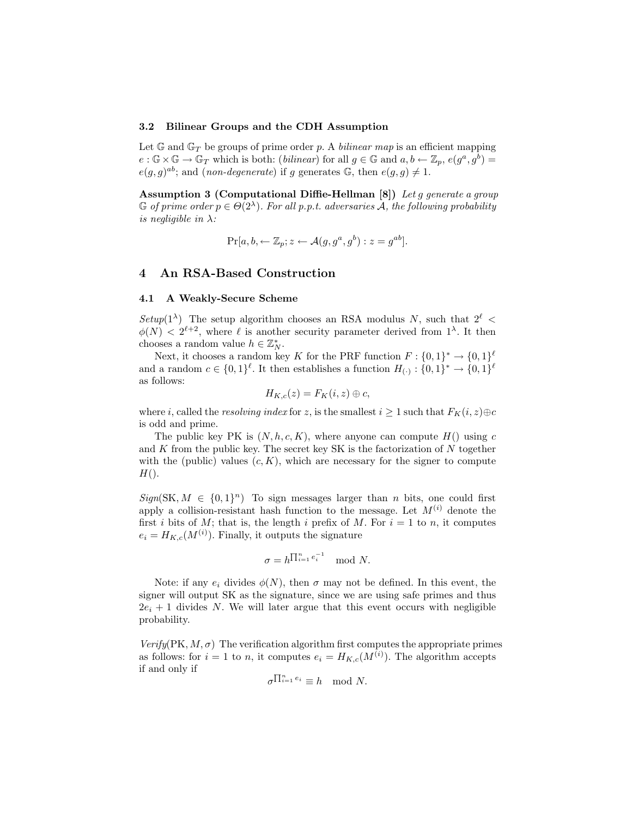### 3.2 Bilinear Groups and the CDH Assumption

Let  $\mathbb{G}$  and  $\mathbb{G}_T$  be groups of prime order p. A bilinear map is an efficient mapping  $e : \mathbb{G} \times \mathbb{G} \to \mathbb{G}_T$  which is both: (*bilinear*) for all  $g \in \mathbb{G}$  and  $a, b \leftarrow \mathbb{Z}_p$ ,  $e(g^a, g^b) =$  $e(g, g)^{ab}$ ; and (non-degenerate) if g generates G, then  $e(g, g) \neq 1$ .

Assumption 3 (Computational Diffie-Hellman [8]) Let q generate a group  $\mathbb G$  of prime order  $p \in \Theta(2^\lambda)$ . For all p.p.t. adversaries  $\mathcal A$ , the following probability is negligible in  $\lambda$ :

$$
\Pr[a, b, \leftarrow \mathbb{Z}_p; z \leftarrow \mathcal{A}(g, g^a, g^b) : z = g^{ab}].
$$

# 4 An RSA-Based Construction

#### 4.1 A Weakly-Secure Scheme

Setup(1<sup> $\lambda$ </sup>) The setup algorithm chooses an RSA modulus N, such that  $2^{\ell}$  <  $\phi(N) < 2^{\ell+2}$ , where  $\ell$  is another security parameter derived from  $1^{\lambda}$ . It then chooses a random value  $h \in \mathbb{Z}_N^*$ .

Next, it chooses a random key K for the PRF function  $F: \{0,1\}^* \to \{0,1\}^{\ell}$ and a random  $c \in \{0,1\}^{\ell}$ . It then establishes a function  $H_{(\cdot)}: \{0,1\}^* \to \{0,1\}^{\ell}$ as follows:

$$
H_{K,c}(z) = F_K(i, z) \oplus c,
$$

where i, called the resolving index for z, is the smallest  $i \geq 1$  such that  $F_K(i, z) \oplus c$ is odd and prime.

The public key PK is  $(N, h, c, K)$ , where anyone can compute  $H()$  using c and  $K$  from the public key. The secret key SK is the factorization of  $N$  together with the (public) values  $(c, K)$ , which are necessary for the signer to compute  $H()$ .

 $Sign(SK, M \in \{0,1\}^n)$  To sign messages larger than *n* bits, one could first apply a collision-resistant hash function to the message. Let  $M^{(i)}$  denote the first i bits of M; that is, the length i prefix of M. For  $i = 1$  to n, it computes  $e_i = H_{K,c}(M^{(i)})$ . Finally, it outputs the signature

$$
\sigma = h^{\prod_{i=1}^{n} e_i^{-1}} \mod N.
$$

Note: if any  $e_i$  divides  $\phi(N)$ , then  $\sigma$  may not be defined. In this event, the signer will output SK as the signature, since we are using safe primes and thus  $2e_i + 1$  divides N. We will later argue that this event occurs with negligible probability.

 $Verify(PK, M, \sigma)$  The verification algorithm first computes the appropriate primes as follows: for  $i = 1$  to n, it computes  $e_i = H_{K,c}(M^{(i)})$ . The algorithm accepts if and only if

$$
\sigma^{\prod_{i=1}^n e_i} \equiv h \mod N.
$$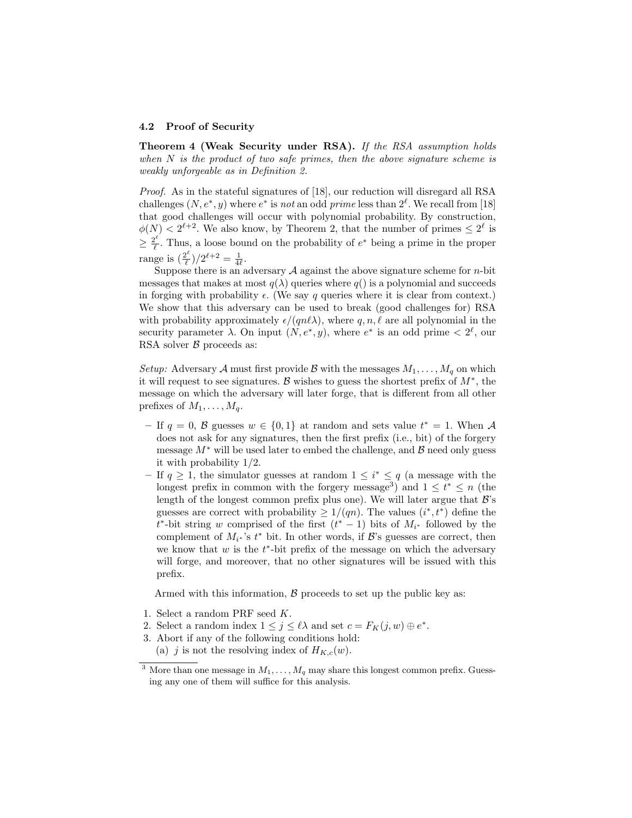### 4.2 Proof of Security

Theorem 4 (Weak Security under RSA). If the RSA assumption holds when  $N$  is the product of two safe primes, then the above signature scheme is weakly unforgeable as in Definition 2.

Proof. As in the stateful signatures of [18], our reduction will disregard all RSA challenges  $(N, e^*, y)$  where  $e^*$  is not an odd prime less than  $2^{\ell}$ . We recall from [18] that good challenges will occur with polynomial probability. By construction,  $\phi(N) < 2^{\ell+2}$ . We also know, by Theorem 2, that the number of primes  $\leq 2^{\ell}$  is  $\geq \frac{2^\ell}{\ell}$  $\ell^{\ell}$ . Thus, a loose bound on the probability of  $e^*$  being a prime in the proper range is  $\left(\frac{2^{\ell}}{\ell}\right)$  $\frac{2^{\ell}}{\ell}$ )/ $2^{\ell+2} = \frac{1}{4\ell}.$ 

Suppose there is an adversary  $A$  against the above signature scheme for *n*-bit messages that makes at most  $q(\lambda)$  queries where  $q()$  is a polynomial and succeeds in forging with probability  $\epsilon$ . (We say q queries where it is clear from context.) We show that this adversary can be used to break (good challenges for) RSA with probability approximately  $\epsilon/(qn\ell\lambda)$ , where  $q, n, \ell$  are all polynomial in the security parameter  $\lambda$ . On input  $(N, e^*, y)$ , where  $e^*$  is an odd prime  $\langle 2^{\ell}, \text{our} \rangle$ RSA solver  $\beta$  proceeds as:

Setup: Adversary A must first provide B with the messages  $M_1, \ldots, M_q$  on which it will request to see signatures. B wishes to guess the shortest prefix of  $M^*$ , the message on which the adversary will later forge, that is different from all other prefixes of  $M_1, \ldots, M_q$ .

- If  $q = 0$ , B guesses  $w \in \{0, 1\}$  at random and sets value  $t^* = 1$ . When A does not ask for any signatures, then the first prefix (i.e., bit) of the forgery message  $M^*$  will be used later to embed the challenge, and  $\beta$  need only guess it with probability 1/2.
- − If  $q \geq 1$ , the simulator guesses at random  $1 \leq i^* \leq q$  (a message with the longest prefix in common with the forgery message<sup>3</sup>) and  $1 \leq t^* \leq n$  (the length of the longest common prefix plus one). We will later argue that  $\mathcal{B}$ 's guesses are correct with probability  $\geq 1/(qn)$ . The values  $(i^*, t^*)$  define the  $t^*$ -bit string w comprised of the first  $(t^* - 1)$  bits of  $M_{i^*}$  followed by the complement of  $M_{i^*}$ 's  $t^*$  bit. In other words, if  $\mathcal{B}$ 's guesses are correct, then we know that  $w$  is the  $t^*$ -bit prefix of the message on which the adversary will forge, and moreover, that no other signatures will be issued with this prefix.

Armed with this information,  $\beta$  proceeds to set up the public key as:

- 1. Select a random PRF seed K.
- 2. Select a random index  $1 \leq j \leq \ell \lambda$  and set  $c = F_K(j, w) \oplus e^*$ .
- 3. Abort if any of the following conditions hold:
- (a) j is not the resolving index of  $H_{K,c}(w)$ .

<sup>&</sup>lt;sup>3</sup> More than one message in  $M_1, \ldots, M_q$  may share this longest common prefix. Guessing any one of them will suffice for this analysis.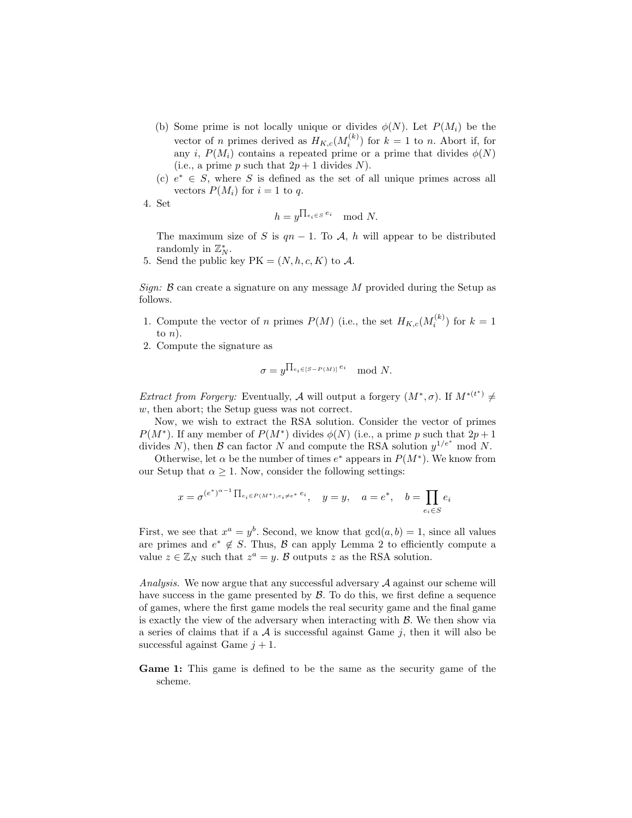- (b) Some prime is not locally unique or divides  $\phi(N)$ . Let  $P(M_i)$  be the vector of *n* primes derived as  $H_{K,c}(M_i^{(k)})$  for  $k = 1$  to *n*. Abort if, for any i,  $P(M_i)$  contains a repeated prime or a prime that divides  $\phi(N)$ (i.e., a prime p such that  $2p + 1$  divides N).
- (c)  $e^* \in S$ , where S is defined as the set of all unique primes across all vectors  $P(M_i)$  for  $i = 1$  to q.
- 4. Set

$$
h = y^{\prod_{e_i \in S} e_i} \mod N.
$$

The maximum size of S is  $qn - 1$ . To A, h will appear to be distributed randomly in  $\mathbb{Z}_N^*$ .

5. Send the public key  $PK = (N, h, c, K)$  to A.

Sign:  $\beta$  can create a signature on any message M provided during the Setup as follows.

- 1. Compute the vector of n primes  $P(M)$  (i.e., the set  $H_{K,c}(M_i^{(k)})$  for  $k=1$ to  $n$ ).
- 2. Compute the signature as

$$
\sigma = y^{\prod_{e_i \in [S-P(M)]} e_i} \mod N.
$$

*Extract from Forgery:* Eventually, A will output a forgery  $(M^*, \sigma)$ . If  $M^{*(t^*)} \neq$ w, then abort; the Setup guess was not correct.

Now, we wish to extract the RSA solution. Consider the vector of primes  $P(M^*)$ . If any member of  $P(M^*)$  divides  $\phi(N)$  (i.e., a prime p such that  $2p+1$ divides N), then B can factor N and compute the RSA solution  $y^{1/e^*}$  mod N.

Otherwise, let  $\alpha$  be the number of times  $e^*$  appears in  $P(M^*)$ . We know from our Setup that  $\alpha \geq 1$ . Now, consider the following settings:

$$
x=\sigma^{(e^*)^{\alpha-1}\prod_{e_i\in P(M^*), e_i\neq e^*}e_i}, \quad y=y, \quad a=e^*, \quad b=\prod_{e_i\in S}e_i
$$

First, we see that  $x^a = y^b$ . Second, we know that  $gcd(a, b) = 1$ , since all values are primes and  $e^* \notin S$ . Thus, B can apply Lemma 2 to efficiently compute a value  $z \in \mathbb{Z}_N$  such that  $z^a = y$ . B outputs z as the RSA solution.

Analysis. We now argue that any successful adversary A against our scheme will have success in the game presented by  $\beta$ . To do this, we first define a sequence of games, where the first game models the real security game and the final game is exactly the view of the adversary when interacting with  $\beta$ . We then show via a series of claims that if a  $A$  is successful against Game  $j$ , then it will also be successful against Game  $j + 1$ .

Game 1: This game is defined to be the same as the security game of the scheme.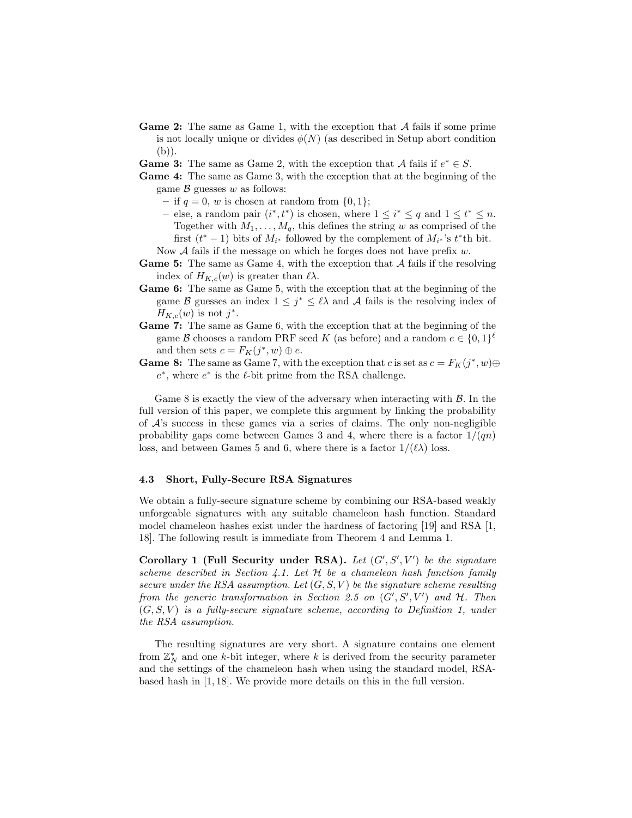- **Game 2:** The same as Game 1, with the exception that  $A$  fails if some prime is not locally unique or divides  $\phi(N)$  (as described in Setup abort condition (b)).
- **Game 3:** The same as Game 2, with the exception that A fails if  $e^* \in S$ .
- Game 4: The same as Game 3, with the exception that at the beginning of the game  $\beta$  guesses w as follows:
	- if  $q = 0$ , w is chosen at random from  $\{0, 1\}$ ;
	- else, a random pair  $(i^*, t^*)$  is chosen, where  $1 \leq i^* \leq q$  and  $1 \leq t^* \leq n$ . Together with  $M_1, \ldots, M_q$ , this defines the string w as comprised of the first  $(t^* - 1)$  bits of  $M_{i^*}$  followed by the complement of  $M_{i^*}$ 's  $t^*$ th bit. Now  $A$  fails if the message on which he forges does not have prefix  $w$ .
- **Game 5:** The same as Game 4, with the exception that  $\mathcal A$  fails if the resolving index of  $H_{K,c}(w)$  is greater than  $\ell \lambda$ .
- Game 6: The same as Game 5, with the exception that at the beginning of the game B guesses an index  $1 \leq j^* \leq \ell \lambda$  and A fails is the resolving index of  $H_{K,c}(w)$  is not  $j^*$ .
- Game 7: The same as Game 6, with the exception that at the beginning of the game  $\mathcal B$  chooses a random PRF seed K (as before) and a random  $e \in \{0,1\}^{\ell}$ and then sets  $c = F_K(j^*, w) \oplus e$ .
- **Game 8:** The same as Game 7, with the exception that c is set as  $c = F_K(j^*, w) \oplus$  $e^*$ , where  $e^*$  is the  $\ell$ -bit prime from the RSA challenge.

Game 8 is exactly the view of the adversary when interacting with  $\beta$ . In the full version of this paper, we complete this argument by linking the probability of  $A$ 's success in these games via a series of claims. The only non-negligible probability gaps come between Games 3 and 4, where there is a factor  $1/(qn)$ loss, and between Games 5 and 6, where there is a factor  $1/(\ell\lambda)$  loss.

#### 4.3 Short, Fully-Secure RSA Signatures

We obtain a fully-secure signature scheme by combining our RSA-based weakly unforgeable signatures with any suitable chameleon hash function. Standard model chameleon hashes exist under the hardness of factoring [19] and RSA [1, 18]. The following result is immediate from Theorem 4 and Lemma 1.

Corollary 1 (Full Security under RSA). Let  $(G', S', V')$  be the signature scheme described in Section 4.1. Let  $H$  be a chameleon hash function family secure under the RSA assumption. Let  $(G, S, V)$  be the signature scheme resulting from the generic transformation in Section 2.5 on  $(G', S', V')$  and H. Then  $(G, S, V)$  is a fully-secure signature scheme, according to Definition 1, under the RSA assumption.

The resulting signatures are very short. A signature contains one element from  $\mathbb{Z}_N^*$  and one k-bit integer, where k is derived from the security parameter and the settings of the chameleon hash when using the standard model, RSAbased hash in [1, 18]. We provide more details on this in the full version.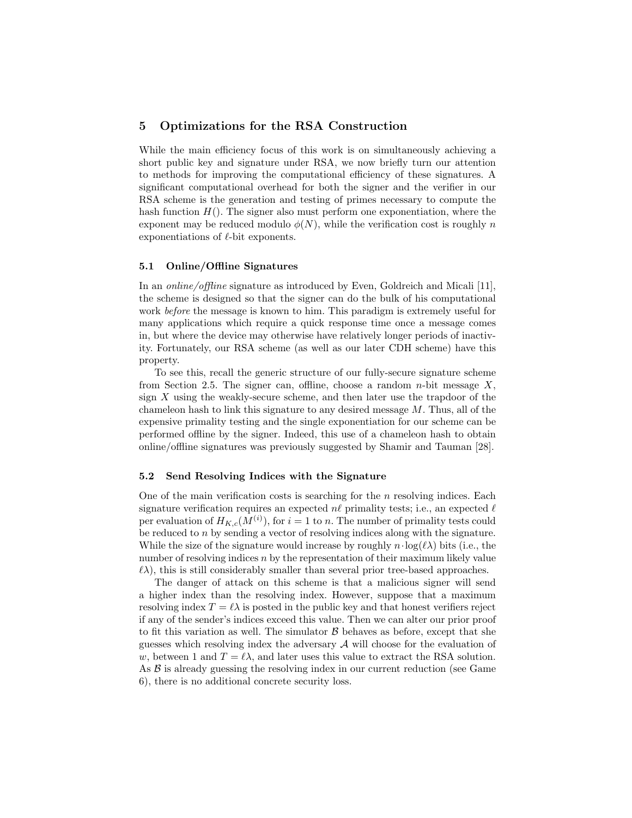# 5 Optimizations for the RSA Construction

While the main efficiency focus of this work is on simultaneously achieving a short public key and signature under RSA, we now briefly turn our attention to methods for improving the computational efficiency of these signatures. A significant computational overhead for both the signer and the verifier in our RSA scheme is the generation and testing of primes necessary to compute the hash function  $H()$ . The signer also must perform one exponentiation, where the exponent may be reduced modulo  $\phi(N)$ , while the verification cost is roughly n exponentiations of  $\ell$ -bit exponents.

### 5.1 Online/Offline Signatures

In an online/offline signature as introduced by Even, Goldreich and Micali [11], the scheme is designed so that the signer can do the bulk of his computational work before the message is known to him. This paradigm is extremely useful for many applications which require a quick response time once a message comes in, but where the device may otherwise have relatively longer periods of inactivity. Fortunately, our RSA scheme (as well as our later CDH scheme) have this property.

To see this, recall the generic structure of our fully-secure signature scheme from Section 2.5. The signer can, offline, choose a random  $n$ -bit message X, sign X using the weakly-secure scheme, and then later use the trapdoor of the chameleon hash to link this signature to any desired message  $M$ . Thus, all of the expensive primality testing and the single exponentiation for our scheme can be performed offline by the signer. Indeed, this use of a chameleon hash to obtain online/offline signatures was previously suggested by Shamir and Tauman [28].

#### 5.2 Send Resolving Indices with the Signature

One of the main verification costs is searching for the  $n$  resolving indices. Each signature verification requires an expected  $n\ell$  primality tests; i.e., an expected  $\ell$ per evaluation of  $H_{K,c}(M^{(i)})$ , for  $i = 1$  to n. The number of primality tests could be reduced to n by sending a vector of resolving indices along with the signature. While the size of the signature would increase by roughly  $n \cdot \log(\ell \lambda)$  bits (i.e., the number of resolving indices  $n$  by the representation of their maximum likely value  $\ell\lambda$ ), this is still considerably smaller than several prior tree-based approaches.

The danger of attack on this scheme is that a malicious signer will send a higher index than the resolving index. However, suppose that a maximum resolving index  $T = \ell \lambda$  is posted in the public key and that honest verifiers reject if any of the sender's indices exceed this value. Then we can alter our prior proof to fit this variation as well. The simulator  $\beta$  behaves as before, except that she guesses which resolving index the adversary  $A$  will choose for the evaluation of w, between 1 and  $T = \ell \lambda$ , and later uses this value to extract the RSA solution. As  $\beta$  is already guessing the resolving index in our current reduction (see Game 6), there is no additional concrete security loss.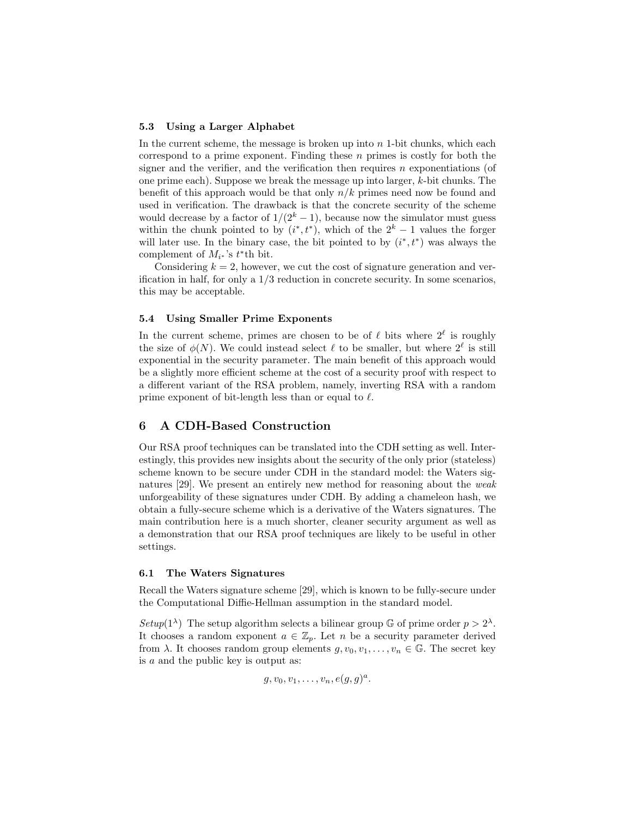#### 5.3 Using a Larger Alphabet

In the current scheme, the message is broken up into  $n$  1-bit chunks, which each correspond to a prime exponent. Finding these  $n$  primes is costly for both the signer and the verifier, and the verification then requires  $n$  exponentiations (of one prime each). Suppose we break the message up into larger, k-bit chunks. The benefit of this approach would be that only  $n/k$  primes need now be found and used in verification. The drawback is that the concrete security of the scheme would decrease by a factor of  $1/(2<sup>k</sup> - 1)$ , because now the simulator must guess within the chunk pointed to by  $(i^*, t^*)$ , which of the  $2^k - 1$  values the forger will later use. In the binary case, the bit pointed to by  $(i^*, t^*)$  was always the complement of  $M_{i^*}$ 's  $t^*$ th bit.

Considering  $k = 2$ , however, we cut the cost of signature generation and verification in half, for only a 1/3 reduction in concrete security. In some scenarios, this may be acceptable.

### 5.4 Using Smaller Prime Exponents

In the current scheme, primes are chosen to be of  $\ell$  bits where  $2^{\ell}$  is roughly the size of  $\phi(N)$ . We could instead select  $\ell$  to be smaller, but where  $2^{\ell}$  is still exponential in the security parameter. The main benefit of this approach would be a slightly more efficient scheme at the cost of a security proof with respect to a different variant of the RSA problem, namely, inverting RSA with a random prime exponent of bit-length less than or equal to  $\ell$ .

# 6 A CDH-Based Construction

Our RSA proof techniques can be translated into the CDH setting as well. Interestingly, this provides new insights about the security of the only prior (stateless) scheme known to be secure under CDH in the standard model: the Waters signatures [29]. We present an entirely new method for reasoning about the weak unforgeability of these signatures under CDH. By adding a chameleon hash, we obtain a fully-secure scheme which is a derivative of the Waters signatures. The main contribution here is a much shorter, cleaner security argument as well as a demonstration that our RSA proof techniques are likely to be useful in other settings.

### 6.1 The Waters Signatures

Recall the Waters signature scheme [29], which is known to be fully-secure under the Computational Diffie-Hellman assumption in the standard model.

Setup(1<sup> $\lambda$ </sup>) The setup algorithm selects a bilinear group G of prime order  $p > 2^{\lambda}$ . It chooses a random exponent  $a \in \mathbb{Z}_p$ . Let n be a security parameter derived from  $\lambda$ . It chooses random group elements  $g, v_0, v_1, \ldots, v_n \in \mathbb{G}$ . The secret key is a and the public key is output as:

$$
g, v_0, v_1, \ldots, v_n, e(g, g)^a.
$$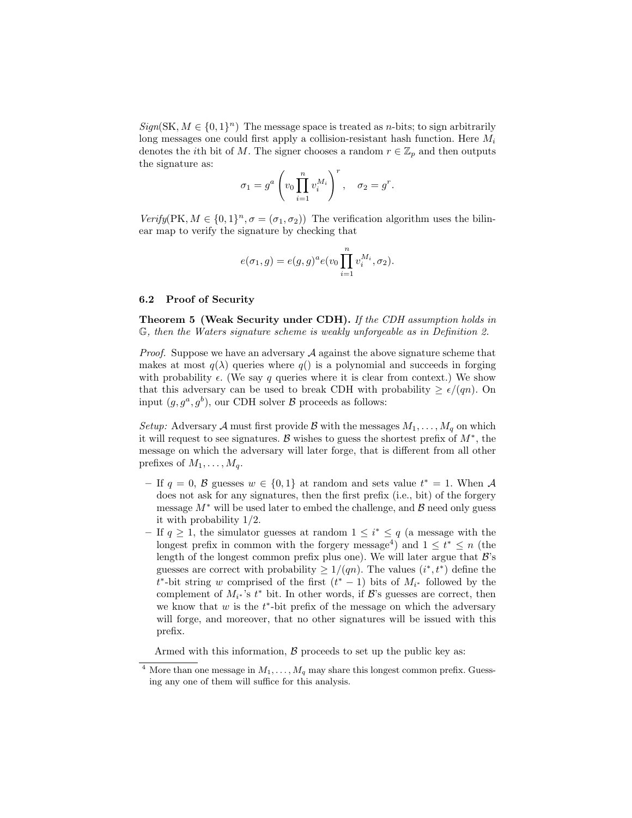$Sign(SK, M \in \{0, 1\}^n)$  The message space is treated as *n*-bits; to sign arbitrarily long messages one could first apply a collision-resistant hash function. Here  $M_i$ denotes the *i*th bit of M. The signer chooses a random  $r \in \mathbb{Z}_p$  and then outputs the signature as:

$$
\sigma_1 = g^a \left( v_0 \prod_{i=1}^n v_i^{M_i} \right)^r, \quad \sigma_2 = g^r.
$$

 $Verify(PK, M \in \{0,1\}^n, \sigma = (\sigma_1, \sigma_2))$  The verification algorithm uses the bilinear map to verify the signature by checking that

$$
e(\sigma_1, g) = e(g, g)^a e(v_0 \prod_{i=1}^n v_i^{M_i}, \sigma_2).
$$

#### 6.2 Proof of Security

Theorem 5 (Weak Security under CDH). If the CDH assumption holds in G, then the Waters signature scheme is weakly unforgeable as in Definition 2.

*Proof.* Suppose we have an adversary  $A$  against the above signature scheme that makes at most  $q(\lambda)$  queries where  $q(\lambda)$  is a polynomial and succeeds in forging with probability  $\epsilon$ . (We say q queries where it is clear from context.) We show that this adversary can be used to break CDH with probability  $\geq \epsilon/(qn)$ . On input  $(g, g^a, g^b)$ , our CDH solver  $\beta$  proceeds as follows:

Setup: Adversary A must first provide B with the messages  $M_1, \ldots, M_q$  on which it will request to see signatures. B wishes to guess the shortest prefix of  $M^*$ , the message on which the adversary will later forge, that is different from all other prefixes of  $M_1, \ldots, M_q$ .

- If  $q = 0$ , B guesses  $w \in \{0, 1\}$  at random and sets value  $t^* = 1$ . When A does not ask for any signatures, then the first prefix (i.e., bit) of the forgery message  $M^*$  will be used later to embed the challenge, and  $\beta$  need only guess it with probability 1/2.
- − If  $q \geq 1$ , the simulator guesses at random  $1 \leq i^* \leq q$  (a message with the longest prefix in common with the forgery message<sup>4</sup>) and  $1 \leq t^* \leq n$  (the length of the longest common prefix plus one). We will later argue that  $\mathcal{B}$ 's guesses are correct with probability  $\geq 1/(qn)$ . The values  $(i^*, t^*)$  define the  $t^*$ -bit string w comprised of the first  $(t^* - 1)$  bits of  $M_{i^*}$  followed by the complement of  $M_{i^*}$ 's  $t^*$  bit. In other words, if  $\mathcal{B}$ 's guesses are correct, then we know that  $w$  is the  $t^*$ -bit prefix of the message on which the adversary will forge, and moreover, that no other signatures will be issued with this prefix.

Armed with this information,  $\beta$  proceeds to set up the public key as:

<sup>&</sup>lt;sup>4</sup> More than one message in  $M_1, \ldots, M_q$  may share this longest common prefix. Guessing any one of them will suffice for this analysis.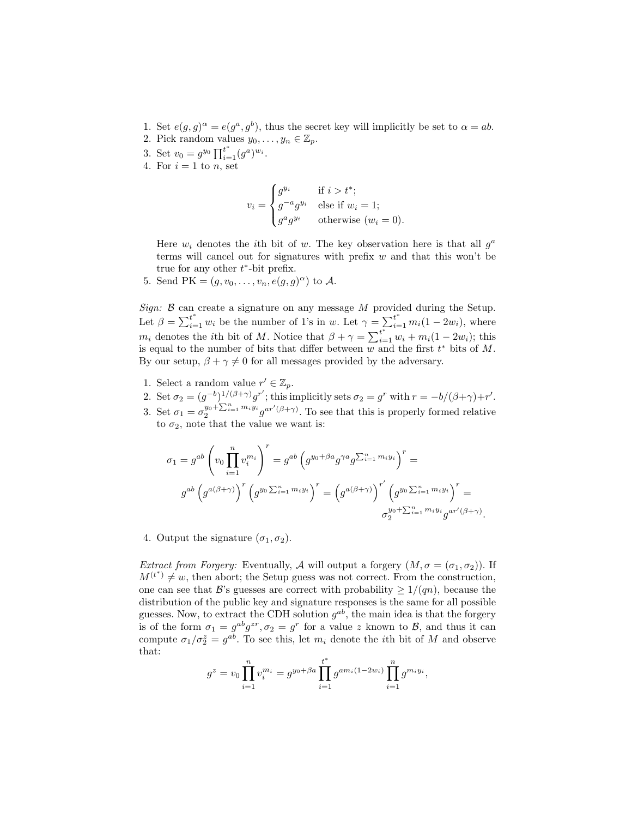- 1. Set  $e(g, g)^{\alpha} = e(g^a, g^b)$ , thus the secret key will implicitly be set to  $\alpha = ab$ .
- 2. Pick random values  $y_0, \ldots, y_n \in \mathbb{Z}_p$ .
- 3. Set  $v_0 = g^{y_0} \prod_{i=1}^{t^*} (g^a)^{w_i}$ .
- 4. For  $i = 1$  to n, set

$$
v_i = \begin{cases} g^{y_i} & \text{if } i > t^*; \\ g^{-a}g^{y_i} & \text{else if } w_i = 1; \\ g^a g^{y_i} & \text{otherwise } (w_i = 0). \end{cases}
$$

Here  $w_i$  denotes the *i*th bit of w. The key observation here is that all  $g^a$ terms will cancel out for signatures with prefix  $w$  and that this won't be true for any other  $t^*$ -bit prefix.

5. Send PK =  $(g, v_0, \ldots, v_n, e(g, g)^\alpha)$  to A.

Sign:  $\beta$  can create a signature on any message M provided during the Setup. Let  $\beta = \sum_{i=1}^{t^*} w_i$  be the number of 1's in w. Let  $\gamma = \sum_{i=1}^{t^*} m_i(1 - 2w_i)$ , where  $m_i$  denotes the *i*th bit of M. Notice that  $\beta + \gamma = \sum_{i=1}^{t^*} w_i + m_i(1 - 2w_i)$ ; this is equal to the number of bits that differ between  $\overline{w}$  and the first  $t^*$  bits of M. By our setup,  $\beta + \gamma \neq 0$  for all messages provided by the adversary.

- 1. Select a random value  $r' \in \mathbb{Z}_p$ .
- 2. Set  $\sigma_2 = (g^{-b})^{1/(\beta+\gamma)}g^{r'}$ ; this implicitly sets  $\sigma_2 = g^r$  with  $r = -b/(\beta+\gamma)+r'$ .
- 3. Set  $\sigma_1 = \sigma_2^{y_0 + \sum_{i=1}^n m_i y_i} g^{ar'(\beta + \gamma)}$ . To see that this is properly formed relative to  $\sigma_2$ , note that the value we want is:

$$
\sigma_1 = g^{ab} \left( v_0 \prod_{i=1}^n v_i^{m_i} \right)^r = g^{ab} \left( g^{y_0 + \beta a} g^{\gamma a} g^{\sum_{i=1}^n m_i y_i} \right)^r =
$$
  

$$
g^{ab} \left( g^{a(\beta + \gamma)} \right)^r \left( g^{y_0 \sum_{i=1}^n m_i y_i} \right)^r = \left( g^{a(\beta + \gamma)} \right)^{r'} \left( g^{y_0 \sum_{i=1}^n m_i y_i} \right)^r =
$$
  

$$
\sigma_2^{y_0 + \sum_{i=1}^n m_i y_i} g^{ar'(\beta + \gamma)}.
$$

4. Output the signature  $(\sigma_1, \sigma_2)$ .

*Extract from Forgery:* Eventually, A will output a forgery  $(M, \sigma = (\sigma_1, \sigma_2))$ . If  $M^{(t^*)} \neq w$ , then abort; the Setup guess was not correct. From the construction, one can see that B's guesses are correct with probability  $\geq 1/(qn)$ , because the distribution of the public key and signature responses is the same for all possible guesses. Now, to extract the CDH solution  $g^{ab}$ , the main idea is that the forgery is of the form  $\sigma_1 = g^{ab}g^{zr}, \sigma_2 = g^r$  for a value z known to  $\mathcal{B}$ , and thus it can compute  $\sigma_1/\sigma_2^z = g^{ab}$ . To see this, let  $m_i$  denote the *i*th bit of M and observe that:

$$
g^{z} = v_0 \prod_{i=1}^{n} v_i^{m_i} = g^{y_0 + \beta a} \prod_{i=1}^{t^*} g^{a m_i (1 - 2 w_i)} \prod_{i=1}^{n} g^{m_i y_i},
$$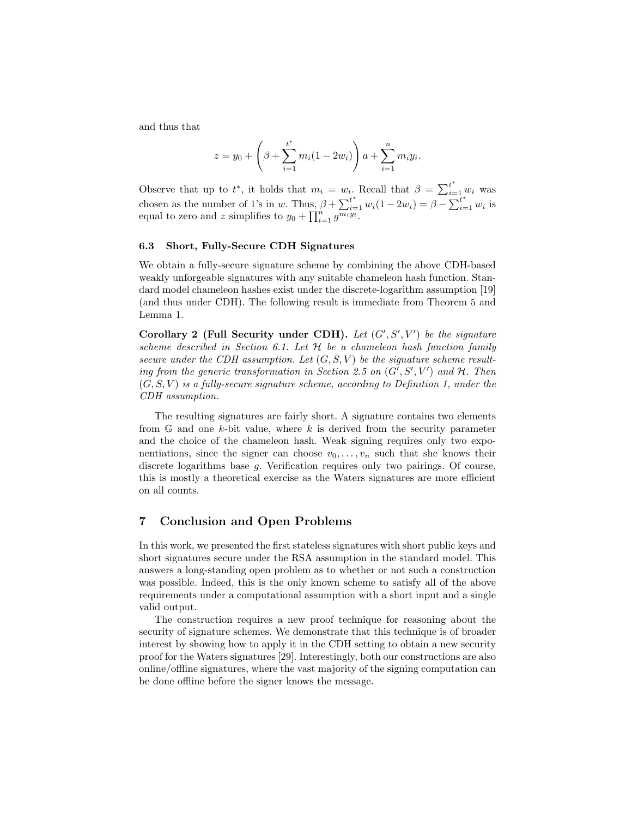and thus that

$$
z = y_0 + \left(\beta + \sum_{i=1}^{t^*} m_i (1 - 2w_i)\right) a + \sum_{i=1}^n m_i y_i.
$$

Observe that up to  $t^*$ , it holds that  $m_i = w_i$ . Recall that  $\beta = \sum_{i=1}^{t^*} w_i$  was chosen as the number of 1's in w. Thus,  $\beta + \sum_{i=1}^{t^*} w_i(1-2w_i) = \beta - \sum_{i=1}^{t^*} w_i$  is equal to zero and z simplifies to  $y_0 + \prod_{i=1}^n g^{\overline{m_i y_i}}$ .

#### 6.3 Short, Fully-Secure CDH Signatures

We obtain a fully-secure signature scheme by combining the above CDH-based weakly unforgeable signatures with any suitable chameleon hash function. Standard model chameleon hashes exist under the discrete-logarithm assumption [19] (and thus under CDH). The following result is immediate from Theorem 5 and Lemma 1.

Corollary 2 (Full Security under CDH). Let  $(G', S', V')$  be the signature scheme described in Section 6.1. Let  $H$  be a chameleon hash function family secure under the CDH assumption. Let  $(G, S, V)$  be the signature scheme resulting from the generic transformation in Section 2.5 on  $(G', S', V')$  and  $H$ . Then  $(G, S, V)$  is a fully-secure signature scheme, according to Definition 1, under the CDH assumption.

The resulting signatures are fairly short. A signature contains two elements from  $\mathbb{G}$  and one k-bit value, where k is derived from the security parameter and the choice of the chameleon hash. Weak signing requires only two exponentiations, since the signer can choose  $v_0, \ldots, v_n$  such that she knows their discrete logarithms base g. Verification requires only two pairings. Of course, this is mostly a theoretical exercise as the Waters signatures are more efficient on all counts.

# 7 Conclusion and Open Problems

In this work, we presented the first stateless signatures with short public keys and short signatures secure under the RSA assumption in the standard model. This answers a long-standing open problem as to whether or not such a construction was possible. Indeed, this is the only known scheme to satisfy all of the above requirements under a computational assumption with a short input and a single valid output.

The construction requires a new proof technique for reasoning about the security of signature schemes. We demonstrate that this technique is of broader interest by showing how to apply it in the CDH setting to obtain a new security proof for the Waters signatures [29]. Interestingly, both our constructions are also online/offline signatures, where the vast majority of the signing computation can be done offline before the signer knows the message.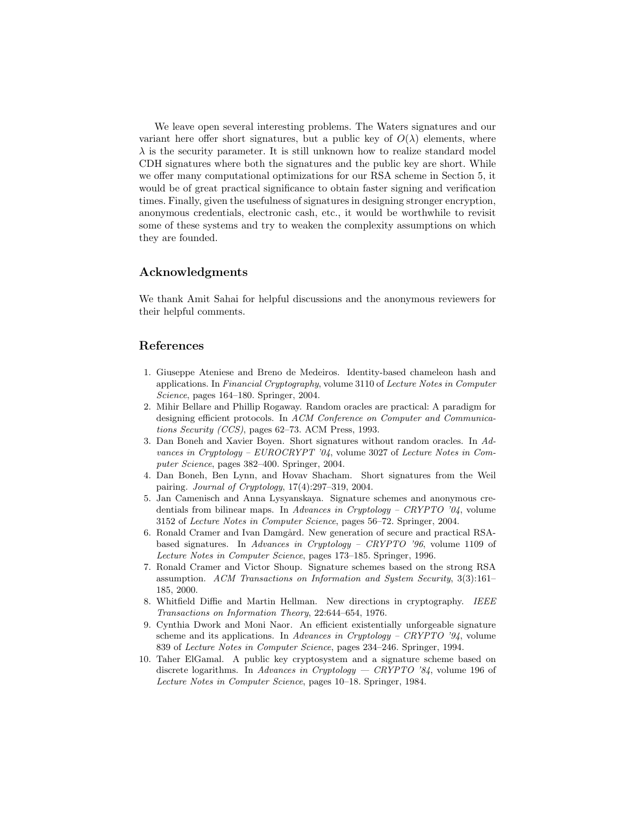We leave open several interesting problems. The Waters signatures and our variant here offer short signatures, but a public key of  $O(\lambda)$  elements, where  $\lambda$  is the security parameter. It is still unknown how to realize standard model CDH signatures where both the signatures and the public key are short. While we offer many computational optimizations for our RSA scheme in Section 5, it would be of great practical significance to obtain faster signing and verification times. Finally, given the usefulness of signatures in designing stronger encryption, anonymous credentials, electronic cash, etc., it would be worthwhile to revisit some of these systems and try to weaken the complexity assumptions on which they are founded.

# Acknowledgments

We thank Amit Sahai for helpful discussions and the anonymous reviewers for their helpful comments.

# References

- 1. Giuseppe Ateniese and Breno de Medeiros. Identity-based chameleon hash and applications. In Financial Cryptography, volume 3110 of Lecture Notes in Computer Science, pages 164–180. Springer, 2004.
- 2. Mihir Bellare and Phillip Rogaway. Random oracles are practical: A paradigm for designing efficient protocols. In ACM Conference on Computer and Communications Security (CCS), pages 62–73. ACM Press, 1993.
- 3. Dan Boneh and Xavier Boyen. Short signatures without random oracles. In Advances in Cryptology – EUROCRYPT '04, volume 3027 of Lecture Notes in Computer Science, pages 382–400. Springer, 2004.
- 4. Dan Boneh, Ben Lynn, and Hovav Shacham. Short signatures from the Weil pairing. Journal of Cryptology, 17(4):297–319, 2004.
- 5. Jan Camenisch and Anna Lysyanskaya. Signature schemes and anonymous credentials from bilinear maps. In Advances in Cryptology – CRYPTO '04, volume 3152 of Lecture Notes in Computer Science, pages 56–72. Springer, 2004.
- 6. Ronald Cramer and Ivan Damgård. New generation of secure and practical RSAbased signatures. In Advances in Cryptology – CRYPTO '96, volume 1109 of Lecture Notes in Computer Science, pages 173–185. Springer, 1996.
- 7. Ronald Cramer and Victor Shoup. Signature schemes based on the strong RSA assumption. ACM Transactions on Information and System Security, 3(3):161– 185, 2000.
- 8. Whitfield Diffie and Martin Hellman. New directions in cryptography. IEEE Transactions on Information Theory, 22:644–654, 1976.
- 9. Cynthia Dwork and Moni Naor. An efficient existentially unforgeable signature scheme and its applications. In Advances in Cryptology – CRYPTO '94, volume 839 of Lecture Notes in Computer Science, pages 234–246. Springer, 1994.
- 10. Taher ElGamal. A public key cryptosystem and a signature scheme based on discrete logarithms. In Advances in Cryptology — CRYPTO '84, volume 196 of Lecture Notes in Computer Science, pages 10–18. Springer, 1984.